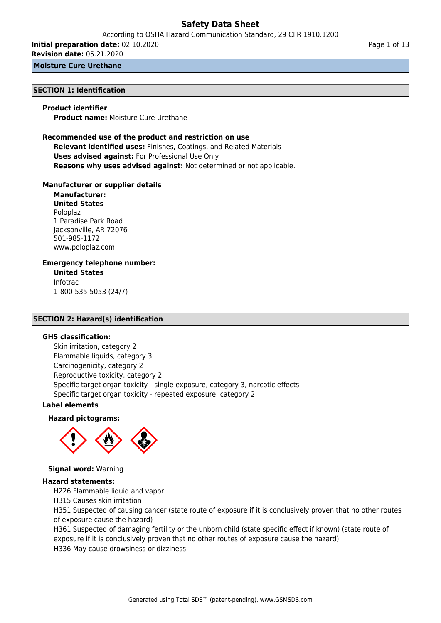According to OSHA Hazard Communication Standard, 29 CFR 1910.1200

**Initial preparation date:** 02.10.2020

**Revision date:** 05.21.2020

**Moisture Cure Urethane**

## **SECTION 1: Identification**

#### **Product identifier**

**Product name:** Moisture Cure Urethane

## **Recommended use of the product and restriction on use Relevant identified uses:** Finishes, Coatings, and Related Materials **Uses advised against:** For Professional Use Only **Reasons why uses advised against:** Not determined or not applicable.

#### **Manufacturer or supplier details**

**Manufacturer: United States** Poloplaz 1 Paradise Park Road Jacksonville, AR 72076 501-985-1172 www.poloplaz.com

## **Emergency telephone number:**

**United States** Infotrac 1-800-535-5053 (24/7)

## **SECTION 2: Hazard(s) identification**

## **GHS classification:**

Skin irritation, category 2 Flammable liquids, category 3 Carcinogenicity, category 2 Reproductive toxicity, category 2 Specific target organ toxicity - single exposure, category 3, narcotic effects Specific target organ toxicity - repeated exposure, category 2

#### **Label elements**

#### **Hazard pictograms:**



**Signal word:** Warning

## **Hazard statements:**

H226 Flammable liquid and vapor

H315 Causes skin irritation

H351 Suspected of causing cancer (state route of exposure if it is conclusively proven that no other routes of exposure cause the hazard)

H361 Suspected of damaging fertility or the unborn child (state specific effect if known) (state route of exposure if it is conclusively proven that no other routes of exposure cause the hazard)

H336 May cause drowsiness or dizziness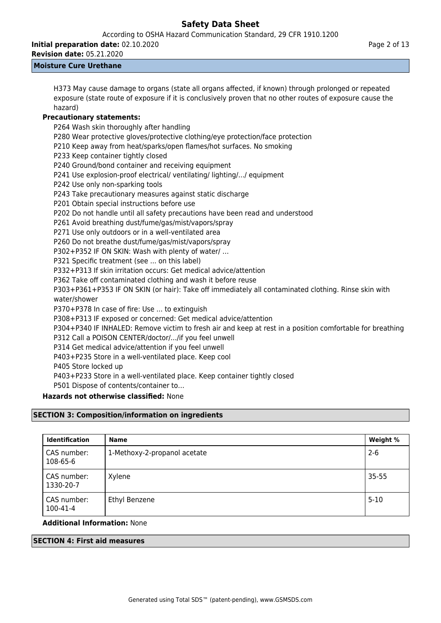According to OSHA Hazard Communication Standard, 29 CFR 1910.1200

**Initial preparation date:** 02.10.2020

Page 2 of 13

## **Revision date:** 05.21.2020 **Moisture Cure Urethane**

H373 May cause damage to organs (state all organs affected, if known) through prolonged or repeated exposure (state route of exposure if it is conclusively proven that no other routes of exposure cause the hazard)

## **Precautionary statements:**

P264 Wash skin thoroughly after handling

- P280 Wear protective gloves/protective clothing/eye protection/face protection
- P210 Keep away from heat/sparks/open flames/hot surfaces. No smoking
- P233 Keep container tightly closed
- P240 Ground/bond container and receiving equipment
- P241 Use explosion-proof electrical/ ventilating/ lighting/.../ equipment
- P242 Use only non-sparking tools
- P243 Take precautionary measures against static discharge
- P201 Obtain special instructions before use
- P202 Do not handle until all safety precautions have been read and understood

P261 Avoid breathing dust/fume/gas/mist/vapors/spray

P271 Use only outdoors or in a well-ventilated area

P260 Do not breathe dust/fume/gas/mist/vapors/spray

P302+P352 IF ON SKIN: Wash with plenty of water/ …

P321 Specific treatment (see ... on this label)

P332+P313 If skin irritation occurs: Get medical advice/attention

P362 Take off contaminated clothing and wash it before reuse

P303+P361+P353 IF ON SKIN (or hair): Take off immediately all contaminated clothing. Rinse skin with water/shower

P370+P378 In case of fire: Use ... to extinguish

P308+P313 IF exposed or concerned: Get medical advice/attention

P304+P340 IF INHALED: Remove victim to fresh air and keep at rest in a position comfortable for breathing

P312 Call a POISON CENTER/doctor/.../if you feel unwell

- P314 Get medical advice/attention if you feel unwell
- P403+P235 Store in a well-ventilated place. Keep cool
- P405 Store locked up

P403+P233 Store in a well-ventilated place. Keep container tightly closed

P501 Dispose of contents/container to…

## **Hazards not otherwise classified:** None

## **SECTION 3: Composition/information on ingredients**

| <b>Identification</b>    | <b>Name</b>                  | Weight %  |
|--------------------------|------------------------------|-----------|
| CAS number:<br>108-65-6  | 1-Methoxy-2-propanol acetate | $2 - 6$   |
| CAS number:<br>1330-20-7 | Xylene                       | $35 - 55$ |
| CAS number:<br>100-41-4  | Ethyl Benzene                | $5 - 10$  |

## **Additional Information:** None

## **SECTION 4: First aid measures**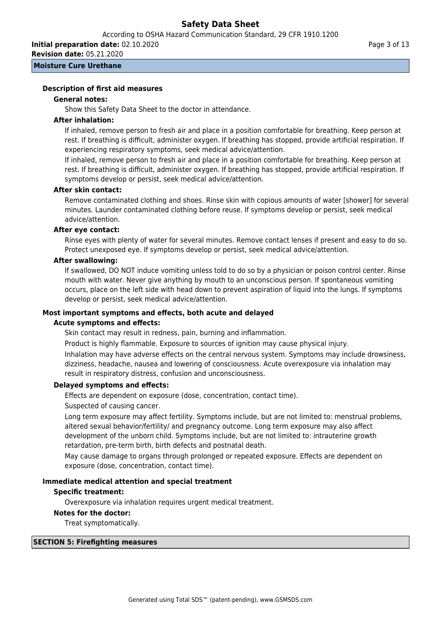According to OSHA Hazard Communication Standard, 29 CFR 1910.1200

**Initial preparation date:** 02.10.2020 **Revision date:** 05.21.2020

**Moisture Cure Urethane**

## **Description of first aid measures**

## **General notes:**

Show this Safety Data Sheet to the doctor in attendance.

## **After inhalation:**

If inhaled, remove person to fresh air and place in a position comfortable for breathing. Keep person at rest. If breathing is difficult, administer oxygen. If breathing has stopped, provide artificial respiration. If experiencing respiratory symptoms, seek medical advice/attention.

If inhaled, remove person to fresh air and place in a position comfortable for breathing. Keep person at rest. If breathing is difficult, administer oxygen. If breathing has stopped, provide artificial respiration. If symptoms develop or persist, seek medical advice/attention.

## **After skin contact:**

Remove contaminated clothing and shoes. Rinse skin with copious amounts of water [shower] for several minutes. Launder contaminated clothing before reuse. If symptoms develop or persist, seek medical advice/attention.

## **After eye contact:**

Rinse eyes with plenty of water for several minutes. Remove contact lenses if present and easy to do so. Protect unexposed eye. If symptoms develop or persist, seek medical advice/attention.

## **After swallowing:**

If swallowed, DO NOT induce vomiting unless told to do so by a physician or poison control center. Rinse mouth with water. Never give anything by mouth to an unconscious person. If spontaneous vomiting occurs, place on the left side with head down to prevent aspiration of liquid into the lungs. If symptoms develop or persist, seek medical advice/attention.

## **Most important symptoms and effects, both acute and delayed**

#### **Acute symptoms and effects:**

Skin contact may result in redness, pain, burning and inflammation.

Product is highly flammable. Exposure to sources of ignition may cause physical injury. Inhalation may have adverse effects on the central nervous system. Symptoms may include drowsiness, dizziness, headache, nausea and lowering of consciousness. Acute overexposure via inhalation may result in respiratory distress, confusion and unconsciousness.

## **Delayed symptoms and effects:**

Effects are dependent on exposure (dose, concentration, contact time).

Suspected of causing cancer.

Long term exposure may affect fertility. Symptoms include, but are not limited to: menstrual problems, altered sexual behavior/fertility/ and pregnancy outcome. Long term exposure may also affect development of the unborn child. Symptoms include, but are not limited to: intrauterine growth retardation, pre-term birth, birth defects and postnatal death.

May cause damage to organs through prolonged or repeated exposure. Effects are dependent on exposure (dose, concentration, contact time).

## **Immediate medical attention and special treatment**

#### **Specific treatment:**

Overexposure via inhalation requires urgent medical treatment.

## **Notes for the doctor:**

Treat symptomatically.

#### **SECTION 5: Firefighting measures**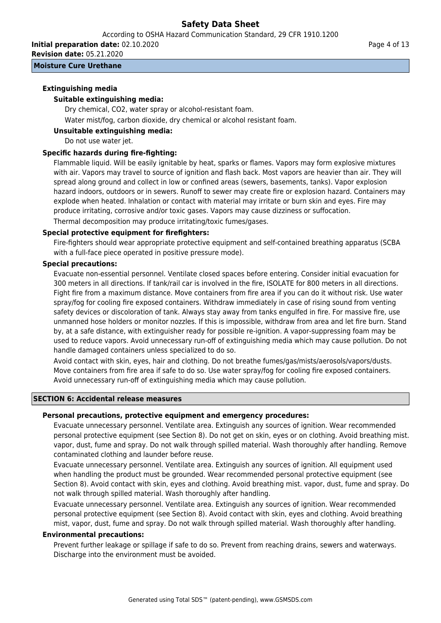According to OSHA Hazard Communication Standard, 29 CFR 1910.1200

**Initial preparation date:** 02.10.2020

**Revision date:** 05.21.2020

## **Moisture Cure Urethane**

## **Extinguishing media**

## **Suitable extinguishing media:**

Dry chemical, CO2, water spray or alcohol-resistant foam.

Water mist/fog, carbon dioxide, dry chemical or alcohol resistant foam.

## **Unsuitable extinguishing media:**

Do not use water jet.

## **Specific hazards during fire-fighting:**

Flammable liquid. Will be easily ignitable by heat, sparks or flames. Vapors may form explosive mixtures with air. Vapors may travel to source of ignition and flash back. Most vapors are heavier than air. They will spread along ground and collect in low or confined areas (sewers, basements, tanks). Vapor explosion hazard indoors, outdoors or in sewers. Runoff to sewer may create fire or explosion hazard. Containers may explode when heated. Inhalation or contact with material may irritate or burn skin and eyes. Fire may produce irritating, corrosive and/or toxic gases. Vapors may cause dizziness or suffocation. Thermal decomposition may produce irritating/toxic fumes/gases.

## **Special protective equipment for firefighters:**

Fire-fighters should wear appropriate protective equipment and self-contained breathing apparatus (SCBA with a full-face piece operated in positive pressure mode).

## **Special precautions:**

Evacuate non-essential personnel. Ventilate closed spaces before entering. Consider initial evacuation for 300 meters in all directions. If tank/rail car is involved in the fire, ISOLATE for 800 meters in all directions. Fight fire from a maximum distance. Move containers from fire area if you can do it without risk. Use water spray/fog for cooling fire exposed containers. Withdraw immediately in case of rising sound from venting safety devices or discoloration of tank. Always stay away from tanks engulfed in fire. For massive fire, use unmanned hose holders or monitor nozzles. If this is impossible, withdraw from area and let fire burn. Stand by, at a safe distance, with extinguisher ready for possible re-ignition. A vapor-suppressing foam may be used to reduce vapors. Avoid unnecessary run-off of extinguishing media which may cause pollution. Do not handle damaged containers unless specialized to do so.

Avoid contact with skin, eyes, hair and clothing. Do not breathe fumes/gas/mists/aerosols/vapors/dusts. Move containers from fire area if safe to do so. Use water spray/fog for cooling fire exposed containers. Avoid unnecessary run-off of extinguishing media which may cause pollution.

#### **SECTION 6: Accidental release measures**

## **Personal precautions, protective equipment and emergency procedures:**

Evacuate unnecessary personnel. Ventilate area. Extinguish any sources of ignition. Wear recommended personal protective equipment (see Section 8). Do not get on skin, eyes or on clothing. Avoid breathing mist. vapor, dust, fume and spray. Do not walk through spilled material. Wash thoroughly after handling. Remove contaminated clothing and launder before reuse.

Evacuate unnecessary personnel. Ventilate area. Extinguish any sources of ignition. All equipment used when handling the product must be grounded. Wear recommended personal protective equipment (see Section 8). Avoid contact with skin, eyes and clothing. Avoid breathing mist. vapor, dust, fume and spray. Do not walk through spilled material. Wash thoroughly after handling.

Evacuate unnecessary personnel. Ventilate area. Extinguish any sources of ignition. Wear recommended personal protective equipment (see Section 8). Avoid contact with skin, eyes and clothing. Avoid breathing mist, vapor, dust, fume and spray. Do not walk through spilled material. Wash thoroughly after handling.

#### **Environmental precautions:**

Prevent further leakage or spillage if safe to do so. Prevent from reaching drains, sewers and waterways. Discharge into the environment must be avoided.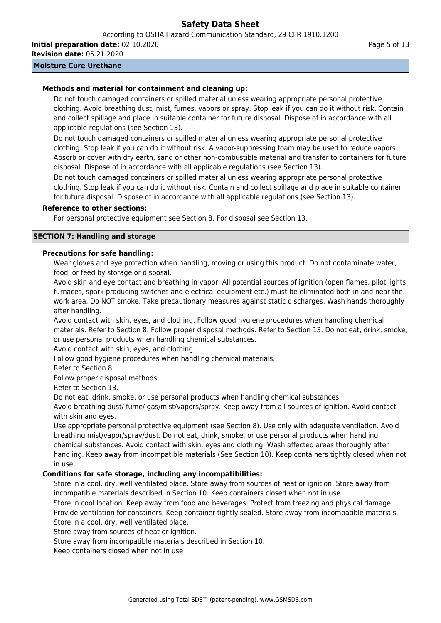According to OSHA Hazard Communication Standard, 29 CFR 1910.1200

**Initial preparation date:** 02.10.2020 **Revision date:** 05.21.2020

## **Moisture Cure Urethane**

## **Methods and material for containment and cleaning up:**

Do not touch damaged containers or spilled material unless wearing appropriate personal protective clothing. Avoid breathing dust, mist, fumes, vapors or spray. Stop leak if you can do it without risk. Contain and collect spillage and place in suitable container for future disposal. Dispose of in accordance with all applicable regulations (see Section 13).

Do not touch damaged containers or spilled material unless wearing appropriate personal protective clothing. Stop leak if you can do it without risk. A vapor-suppressing foam may be used to reduce vapors. Absorb or cover with dry earth, sand or other non-combustible material and transfer to containers for future disposal. Dispose of in accordance with all applicable regulations (see Section 13).

Do not touch damaged containers or spilled material unless wearing appropriate personal protective clothing. Stop leak if you can do it without risk. Contain and collect spillage and place in suitable container for future disposal. Dispose of in accordance with all applicable regulations (see Section 13).

## **Reference to other sections:**

For personal protective equipment see Section 8. For disposal see Section 13.

## **SECTION 7: Handling and storage**

## **Precautions for safe handling:**

Wear gloves and eye protection when handling, moving or using this product. Do not contaminate water, food, or feed by storage or disposal.

Avoid skin and eye contact and breathing in vapor. All potential sources of ignition (open flames, pilot lights, furnaces, spark producing switches and electrical equipment etc.) must be eliminated both in and near the work area. Do NOT smoke. Take precautionary measures against static discharges. Wash hands thoroughly after handling.

Avoid contact with skin, eyes, and clothing. Follow good hygiene procedures when handling chemical materials. Refer to Section 8. Follow proper disposal methods. Refer to Section 13. Do not eat, drink, smoke, or use personal products when handling chemical substances.

Avoid contact with skin, eyes, and clothing.

Follow good hygiene procedures when handling chemical materials.

Refer to Section 8.

Follow proper disposal methods.

Refer to Section 13.

Do not eat, drink, smoke, or use personal products when handling chemical substances.

Avoid breathing dust/ fume/ gas/mist/vapors/spray. Keep away from all sources of ignition. Avoid contact with skin and eyes.

Use appropriate personal protective equipment (see Section 8). Use only with adequate ventilation. Avoid breathing mist/vapor/spray/dust. Do not eat, drink, smoke, or use personal products when handling chemical substances. Avoid contact with skin, eyes and clothing. Wash affected areas thoroughly after handling. Keep away from incompatible materials (See Section 10). Keep containers tightly closed when not in use.

## **Conditions for safe storage, including any incompatibilities:**

Store in a cool, dry, well ventilated place. Store away from sources of heat or ignition. Store away from incompatible materials described in Section 10. Keep containers closed when not in use Store in cool location. Keep away from food and beverages. Protect from freezing and physical damage. Provide ventilation for containers. Keep container tightly sealed. Store away from incompatible materials. Store in a cool, dry, well ventilated place.

Store away from sources of heat or ignition.

Store away from incompatible materials described in Section 10.

Keep containers closed when not in use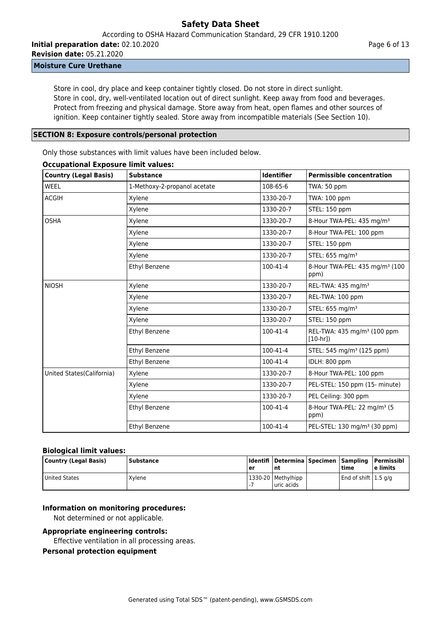According to OSHA Hazard Communication Standard, 29 CFR 1910.1200

**Initial preparation date:** 02.10.2020 **Revision date:** 05.21.2020

## **Moisture Cure Urethane**

Store in cool, dry place and keep container tightly closed. Do not store in direct sunlight. Store in cool, dry, well-ventilated location out of direct sunlight. Keep away from food and beverages. Protect from freezing and physical damage. Store away from heat, open flames and other sources of ignition. Keep container tightly sealed. Store away from incompatible materials (See Section 10).

#### **SECTION 8: Exposure controls/personal protection**

Only those substances with limit values have been included below.

| <b>Country (Legal Basis)</b> | <b>Substance</b>             | <b>Identifier</b> | <b>Permissible concentration</b>                     |
|------------------------------|------------------------------|-------------------|------------------------------------------------------|
| <b>WEEL</b>                  | 1-Methoxy-2-propanol acetate | 108-65-6          | TWA: 50 ppm                                          |
| <b>ACGIH</b>                 | Xylene                       | 1330-20-7         | TWA: 100 ppm                                         |
|                              | Xylene                       | 1330-20-7         | STEL: 150 ppm                                        |
| <b>OSHA</b>                  | Xylene                       | 1330-20-7         | 8-Hour TWA-PEL: 435 mg/m <sup>3</sup>                |
|                              | Xylene                       | 1330-20-7         | 8-Hour TWA-PEL: 100 ppm                              |
|                              | Xylene                       | 1330-20-7         | STEL: 150 ppm                                        |
|                              | Xylene                       | 1330-20-7         | STEL: 655 mg/m <sup>3</sup>                          |
|                              | Ethyl Benzene                | 100-41-4          | 8-Hour TWA-PEL: 435 mg/m <sup>3</sup> (100<br>ppm)   |
| <b>NIOSH</b>                 | Xylene                       | 1330-20-7         | REL-TWA: 435 mg/m <sup>3</sup>                       |
|                              | Xylene                       | 1330-20-7         | REL-TWA: 100 ppm                                     |
|                              | Xylene                       | 1330-20-7         | STEL: 655 mg/m <sup>3</sup>                          |
|                              | Xylene                       | 1330-20-7         | STEL: 150 ppm                                        |
|                              | Ethyl Benzene                | 100-41-4          | REL-TWA: 435 mg/m <sup>3</sup> (100 ppm<br>$[10-hr]$ |
|                              | Ethyl Benzene                | 100-41-4          | STEL: 545 mg/m <sup>3</sup> (125 ppm)                |
|                              | Ethyl Benzene                | 100-41-4          | IDLH: 800 ppm                                        |
| United States(California)    | Xylene                       | 1330-20-7         | 8-Hour TWA-PEL: 100 ppm                              |
|                              | Xylene                       | 1330-20-7         | PEL-STEL: 150 ppm (15- minute)                       |
|                              | Xylene                       | 1330-20-7         | PEL Ceiling: 300 ppm                                 |
|                              | Ethyl Benzene                | 100-41-4          | 8-Hour TWA-PEL: 22 mg/m <sup>3</sup> (5<br>ppm)      |
|                              | Ethyl Benzene                | 100-41-4          | PEL-STEL: 130 mg/m <sup>3</sup> (30 ppm)             |

## **Occupational Exposure limit values:**

#### **Biological limit values:**

| Country (Legal Basis) | <b>Substance</b> | er                       | Identifi   Determina   Specimen   Sampling   Permissibl<br>l nt | <b>time</b>                          | l e limits |
|-----------------------|------------------|--------------------------|-----------------------------------------------------------------|--------------------------------------|------------|
| United States         | Xvlene           | $\overline{\phantom{a}}$ | 1330-20   Methylhipp<br>Luric acids                             | $\vert$ End of shift $\vert$ 1.5 g/g |            |

## **Information on monitoring procedures:**

Not determined or not applicable.

#### **Appropriate engineering controls:**

Effective ventilation in all processing areas.

#### **Personal protection equipment**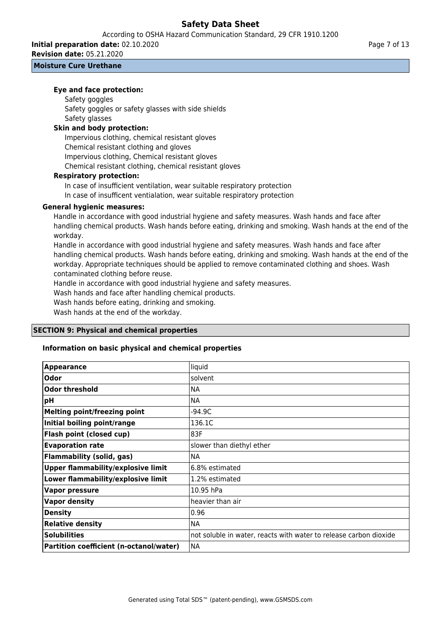**Initial preparation date:** 02.10.2020

**Revision date:** 05.21.2020

## **Moisture Cure Urethane**

## **Eye and face protection:**

## Safety goggles

Safety goggles or safety glasses with side shields Safety glasses

## **Skin and body protection:**

Impervious clothing, chemical resistant gloves Chemical resistant clothing and gloves Impervious clothing, Chemical resistant gloves Chemical resistant clothing, chemical resistant gloves

## **Respiratory protection:**

In case of insufficient ventilation, wear suitable respiratory protection

In case of insufficent ventialation, wear suitable respiratory protection

## **General hygienic measures:**

Handle in accordance with good industrial hygiene and safety measures. Wash hands and face after handling chemical products. Wash hands before eating, drinking and smoking. Wash hands at the end of the workday.

Handle in accordance with good industrial hygiene and safety measures. Wash hands and face after handling chemical products. Wash hands before eating, drinking and smoking. Wash hands at the end of the workday. Appropriate techniques should be applied to remove contaminated clothing and shoes. Wash contaminated clothing before reuse.

Handle in accordance with good industrial hygiene and safety measures.

Wash hands and face after handling chemical products.

Wash hands before eating, drinking and smoking.

Wash hands at the end of the workday.

## **SECTION 9: Physical and chemical properties**

## **Information on basic physical and chemical properties**

| <b>Appearance</b>                         | liquid                                                            |
|-------------------------------------------|-------------------------------------------------------------------|
| Odor                                      | solvent                                                           |
| <b>Odor threshold</b>                     | <b>NA</b>                                                         |
| pH                                        | <b>NA</b>                                                         |
| <b>Melting point/freezing point</b>       | $-94.9C$                                                          |
| Initial boiling point/range               | 136.1C                                                            |
| Flash point (closed cup)                  | 83F                                                               |
| <b>Evaporation rate</b>                   | slower than diethyl ether                                         |
| <b>Flammability (solid, gas)</b>          | <b>NA</b>                                                         |
| <b>Upper flammability/explosive limit</b> | 6.8% estimated                                                    |
| Lower flammability/explosive limit        | 1.2% estimated                                                    |
| <b>Vapor pressure</b>                     | 10.95 hPa                                                         |
| <b>Vapor density</b>                      | heavier than air                                                  |
| <b>Density</b>                            | 0.96                                                              |
| <b>Relative density</b>                   | <b>NA</b>                                                         |
| <b>Solubilities</b>                       | not soluble in water, reacts with water to release carbon dioxide |
| Partition coefficient (n-octanol/water)   | <b>NA</b>                                                         |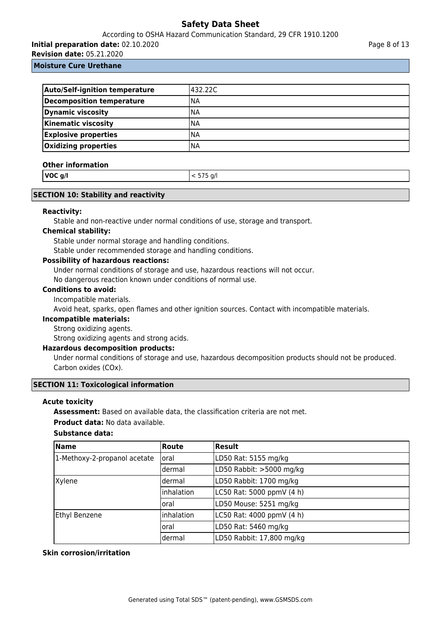## According to OSHA Hazard Communication Standard, 29 CFR 1910.1200

**Initial preparation date:** 02.10.2020

**Revision date:** 05.21.2020

Page 8 of 13

## **Moisture Cure Urethane**

| <b>Auto/Self-ignition temperature</b> | 432.22C    |
|---------------------------------------|------------|
| Decomposition temperature             | INA        |
| Dynamic viscosity                     | INA        |
| <b>Kinematic viscosity</b>            | INA        |
| <b>Explosive properties</b>           | <b>INA</b> |
| <b>Oxidizing properties</b>           | INA        |

#### **Other information**

| VOC g/l | $< 575$ g/l |
|---------|-------------|
|         |             |

#### **SECTION 10: Stability and reactivity**

#### **Reactivity:**

Stable and non-reactive under normal conditions of use, storage and transport.

#### **Chemical stability:**

Stable under normal storage and handling conditions.

Stable under recommended storage and handling conditions.

#### **Possibility of hazardous reactions:**

Under normal conditions of storage and use, hazardous reactions will not occur.

No dangerous reaction known under conditions of normal use.

## **Conditions to avoid:**

Incompatible materials.

Avoid heat, sparks, open flames and other ignition sources. Contact with incompatible materials.

## **Incompatible materials:**

Strong oxidizing agents.

Strong oxidizing agents and strong acids.

## **Hazardous decomposition products:**

Under normal conditions of storage and use, hazardous decomposition products should not be produced. Carbon oxides (COx).

## **SECTION 11: Toxicological information**

#### **Acute toxicity**

**Assessment:** Based on available data, the classification criteria are not met.

**Product data:** No data available.

## **Substance data:**

| <b>Name</b>                  | Route      | <b>Result</b>             |
|------------------------------|------------|---------------------------|
| 1-Methoxy-2-propanol acetate | loral      | LD50 Rat: 5155 mg/kg      |
|                              | dermal     | LD50 Rabbit: >5000 mg/kg  |
| Xylene                       | dermal     | LD50 Rabbit: 1700 mg/kg   |
|                              | Inhalation | LC50 Rat: 5000 ppmV (4 h) |
|                              | loral      | LD50 Mouse: 5251 mg/kg    |
| Ethyl Benzene                | Inhalation | LC50 Rat: 4000 ppmV (4 h) |
|                              | loral      | LD50 Rat: 5460 mg/kg      |
|                              | dermal     | LD50 Rabbit: 17,800 mg/kg |

## **Skin corrosion/irritation**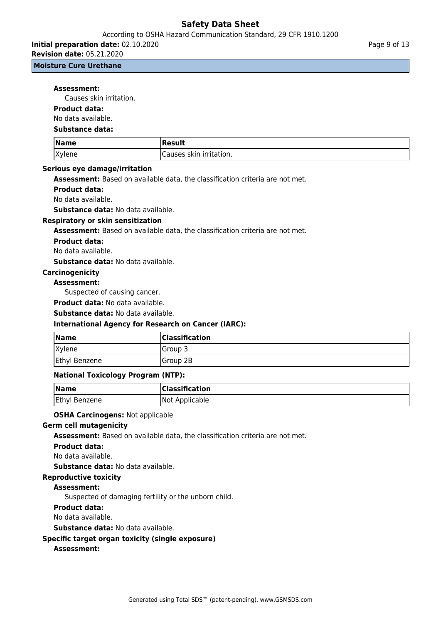According to OSHA Hazard Communication Standard, 29 CFR 1910.1200

**Initial preparation date:** 02.10.2020

**Revision date:** 05.21.2020

**Moisture Cure Urethane**

#### **Assessment:**

Causes skin irritation.

## **Product data:**

No data available.

#### **Substance data:**

| <i>Name</i> | Result                         |
|-------------|--------------------------------|
| Xylene      | skin irritation. ا<br>Causes 1 |

## **Serious eye damage/irritation**

**Assessment:** Based on available data, the classification criteria are not met.

#### **Product data:**

No data available.

**Substance data:** No data available.

#### **Respiratory or skin sensitization**

**Assessment:** Based on available data, the classification criteria are not met.

#### **Product data:**

No data available.

**Substance data:** No data available.

## **Carcinogenicity**

## **Assessment:**

Suspected of causing cancer.

**Product data:** No data available.

#### **Substance data:** No data available.

## **International Agency for Research on Cancer (IARC):**

| Name          | <b>Classification</b> |
|---------------|-----------------------|
| Xylene        | lGroup 3              |
| Ethyl Benzene | Group 2B              |

#### **National Toxicology Program (NTP):**

| <b>Name</b>   | <b>Classification</b> |
|---------------|-----------------------|
| Ethyl Benzene | Not Applicable        |

**OSHA Carcinogens:** Not applicable

#### **Germ cell mutagenicity**

**Assessment:** Based on available data, the classification criteria are not met.

#### **Product data:**

No data available.

**Substance data:** No data available.

## **Reproductive toxicity**

#### **Assessment:**

Suspected of damaging fertility or the unborn child.

#### **Product data:**

#### No data available.

**Substance data:** No data available.

#### **Specific target organ toxicity (single exposure)**

#### **Assessment:**

Page 9 of 13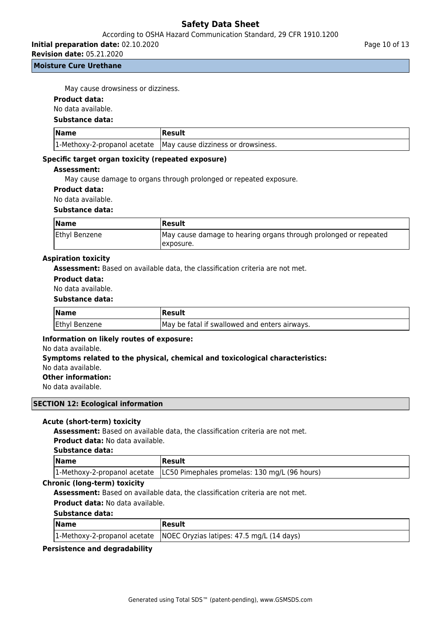## According to OSHA Hazard Communication Standard, 29 CFR 1910.1200

**Initial preparation date:** 02.10.2020

**Revision date:** 05.21.2020

## **Moisture Cure Urethane**

May cause drowsiness or dizziness.

## **Product data:**

No data available.

**Substance data:**

| <b>Name</b> | Result                                                            |
|-------------|-------------------------------------------------------------------|
|             | 1-Methoxy-2-propanol acetate   May cause dizziness or drowsiness. |

## **Specific target organ toxicity (repeated exposure)**

#### **Assessment:**

May cause damage to organs through prolonged or repeated exposure.

## **Product data:**

No data available.

#### **Substance data:**

| <b>Name</b>   | <b>IResult</b>                                                   |
|---------------|------------------------------------------------------------------|
| Ethyl Benzene | May cause damage to hearing organs through prolonged or repeated |
|               | Texposure.                                                       |

## **Aspiration toxicity**

**Assessment:** Based on available data, the classification criteria are not met.

#### **Product data:**

No data available.

#### **Substance data:**

| <b>Name</b>          | Result                                        |
|----------------------|-----------------------------------------------|
| <b>Ethyl Benzene</b> | May be fatal if swallowed and enters airways. |

#### **Information on likely routes of exposure:**

No data available.

#### **Symptoms related to the physical, chemical and toxicological characteristics:**

No data available.

## **Other information:**

No data available.

## **SECTION 12: Ecological information**

#### **Acute (short-term) toxicity**

**Assessment:** Based on available data, the classification criteria are not met. **Product data:** No data available.

## **Substance data:**

| $\sqrt{\mathsf{Name}}$ | Result                                                                       |
|------------------------|------------------------------------------------------------------------------|
|                        | 1-Methoxy-2-propanol acetate   LC50 Pimephales promelas: 130 mg/L (96 hours) |

#### **Chronic (long-term) toxicity**

**Assessment:** Based on available data, the classification criteria are not met.

**Product data:** No data available.

#### **Substance data:**

| <b>Name</b> | Result                                                                   |
|-------------|--------------------------------------------------------------------------|
|             | 1-Methoxy-2-propanol acetate   NOEC Oryzias latipes: 47.5 mg/L (14 days) |

## **Persistence and degradability**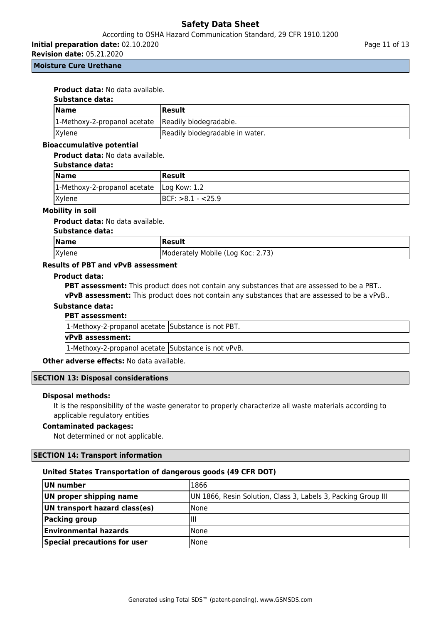## According to OSHA Hazard Communication Standard, 29 CFR 1910.1200

**Initial preparation date:** 02.10.2020

**Revision date:** 05.21.2020

#### **Moisture Cure Urethane**

## **Product data:** No data available.

#### **Substance data:**

| <b>Name</b>                                         | Result                          |
|-----------------------------------------------------|---------------------------------|
| 1-Methoxy-2-propanol acetate Readily biodegradable. |                                 |
| <b>Xylene</b>                                       | Readily biodegradable in water. |

## **Bioaccumulative potential**

### **Product data:** No data available.

#### **Substance data:**

| Name                                        | <b>Result</b>        |
|---------------------------------------------|----------------------|
| 1-Methoxy-2-propanol acetate   Log Kow: 1.2 |                      |
| Xylene                                      | $ BCF: >8.1 - <25.9$ |

#### **Mobility in soil**

**Product data:** No data available.

## **Substance data:**

| Name   | <b>Result</b>                     |
|--------|-----------------------------------|
| Xylene | Moderately Mobile (Log Koc: 2.73) |

## **Results of PBT and vPvB assessment**

#### **Product data:**

**PBT assessment:** This product does not contain any substances that are assessed to be a PBT..

**vPvB assessment:** This product does not contain any substances that are assessed to be a vPvB..

## **Substance data:**

#### **PBT assessment:**

| 1-Methoxy-2-propanol acetate Substance is not PBT.  |  |
|-----------------------------------------------------|--|
| <b>vPvB</b> assessment:                             |  |
| 1-Methoxy-2-propanol acetate Substance is not vPvB. |  |

#### **Other adverse effects: No data available.**

#### **SECTION 13: Disposal considerations**

#### **Disposal methods:**

It is the responsibility of the waste generator to properly characterize all waste materials according to applicable regulatory entities

## **Contaminated packages:**

Not determined or not applicable.

#### **SECTION 14: Transport information**

#### **United States Transportation of dangerous goods (49 CFR DOT)**

| UN number                     | 1866                                                          |
|-------------------------------|---------------------------------------------------------------|
| UN proper shipping name       | UN 1866, Resin Solution, Class 3, Labels 3, Packing Group III |
| UN transport hazard class(es) | <b>None</b>                                                   |
| <b>Packing group</b>          | Ш                                                             |
| <b>Environmental hazards</b>  | <b>None</b>                                                   |
| Special precautions for user  | <b>None</b>                                                   |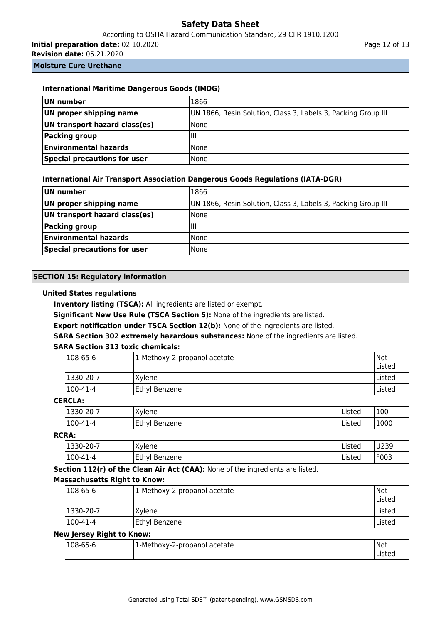# According to OSHA Hazard Communication Standard, 29 CFR 1910.1200

**Initial preparation date:** 02.10.2020

**Revision date:** 05.21.2020

**Moisture Cure Urethane**

| <b>International Maritime Dangerous Goods (IMDG)</b> |                                                               |  |
|------------------------------------------------------|---------------------------------------------------------------|--|
| UN number                                            | 1866                                                          |  |
| UN proper shipping name                              | UN 1866, Resin Solution, Class 3, Labels 3, Packing Group III |  |
| UN transport hazard class(es)                        | None                                                          |  |
| Packing group                                        | ШI                                                            |  |
| <b>Environmental hazards</b>                         | None                                                          |  |
| Special precautions for user                         | None                                                          |  |

## **International Air Transport Association Dangerous Goods Regulations (IATA-DGR)**

| UN number                     | 1866                                                          |
|-------------------------------|---------------------------------------------------------------|
| UN proper shipping name       | UN 1866, Resin Solution, Class 3, Labels 3, Packing Group III |
| UN transport hazard class(es) | <b>None</b>                                                   |
| Packing group                 | IШ                                                            |
| <b>Environmental hazards</b>  | <b>None</b>                                                   |
| Special precautions for user  | l None                                                        |

## **SECTION 15: Regulatory information**

## **United States regulations**

**Inventory listing (TSCA):** All ingredients are listed or exempt.

**Significant New Use Rule (TSCA Section 5):** None of the ingredients are listed.

**Export notification under TSCA Section 12(b):** None of the ingredients are listed.

**SARA Section 302 extremely hazardous substances:** None of the ingredients are listed.

## **SARA Section 313 toxic chemicals:**

| 1-Methoxy-2-propanol acetate | Not<br>Listed |
|------------------------------|---------------|
| IXvlene                      | <b>Listed</b> |
| Ethyl Benzene                | lListed       |
|                              |               |

## **CERCLA:**

| -<br>، مدد ا<br> 1330-20-1 | $\mathbf{v}$<br>(vlene  | Listed | 100  |
|----------------------------|-------------------------|--------|------|
| $ 100-47\rangle$<br>I – 4  | Ethyl<br><b>Benzene</b> | Listeo | 1000 |

## **RCRA:**

| .1330-ZU-7  | 'Yylene          | Listed | U239  |
|-------------|------------------|--------|-------|
| 100<br>l -4 | Ethyl<br>Benzene | Listed | 1F003 |

**Section 112(r) of the Clean Air Act (CAA):** None of the ingredients are listed.

## **Massachusetts Right to Know:**

| $ 108-65-6$  | 1-Methoxy-2-propanol acetate | Not<br>Listed |
|--------------|------------------------------|---------------|
| $ 1330-20-7$ | IXvlene                      | Listed        |
| $ 100-41-4 $ | Ethyl Benzene                | Listed        |

## **New Jersey Right to Know:**

| $ 108-65-6$ | L-Methoxy-2-propanol acetate | <b>INot</b> |
|-------------|------------------------------|-------------|
|             |                              |             |